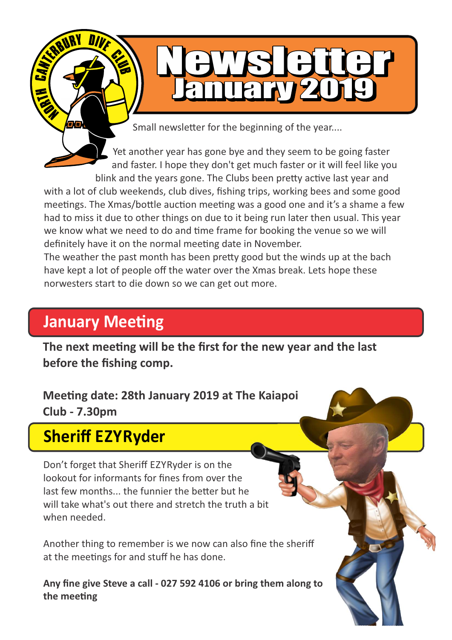Small newsletter for the beginning of the year....

WS FiG

January 2019

Yet another year has gone bye and they seem to be going faster and faster. I hope they don't get much faster or it will feel like you blink and the years gone. The Clubs been pretty active last year and with a lot of club weekends, club dives, fishing trips, working bees and some good meetings. The Xmas/bottle auction meeting was a good one and it's a shame a few had to miss it due to other things on due to it being run later then usual. This year we know what we need to do and time frame for booking the venue so we will definitely have it on the normal meeting date in November.

The weather the past month has been pretty good but the winds up at the bach have kept a lot of people off the water over the Xmas break. Lets hope these norwesters start to die down so we can get out more.

# **January Meeting**

The next meeting will be the first for the new year and the last **before the fishing comp.**

**Meeting date: 28th January 2019 at The Kaiapoi Club - 7.30pm**

# **Sheriff EZYRyder**

Don't forget that Sheriff EZYRyder is on the lookout for informants for fines from over the last few months... the funnier the better but he will take what's out there and stretch the truth a bit when needed.

Another thing to remember is we now can also fine the sheriff at the meetings for and stuff he has done.

**Any fine give Steve a call - 027 592 4106 or bring them along to**  the meeting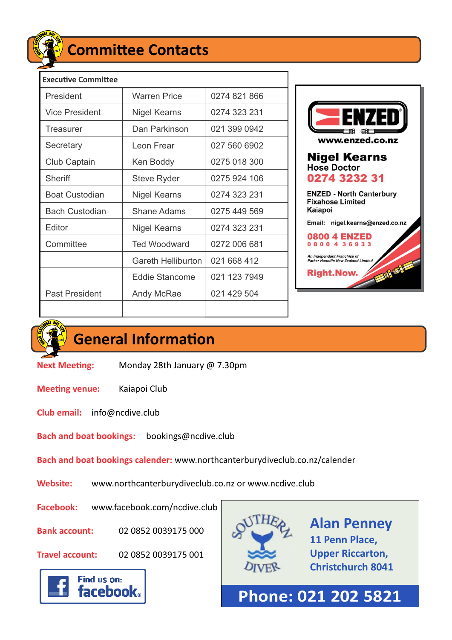

## **Committee Contacts**

| <b>Executive Committee</b> |                           |              |
|----------------------------|---------------------------|--------------|
| President                  | <b>Warren Price</b>       | 0274 821 866 |
| Vice President             | Nigel Kearns              | 0274 323 231 |
| Treasurer                  | Dan Parkinson             | 021 399 0942 |
| Secretary                  | Leon Frear                | 027 560 6902 |
| Club Captain               | Ken Boddy                 | 0275 018 300 |
| Sheriff                    | <b>Steve Ryder</b>        | 0275 924 106 |
| <b>Boat Custodian</b>      | Nigel Kearns              | 0274 323 231 |
| <b>Bach Custodian</b>      | Shane Adams               | 0275 449 569 |
| Editor                     | Nigel Kearns              | 0274 323 231 |
| Committee                  | <b>Ted Woodward</b>       | 0272 006 681 |
|                            | <b>Gareth Helliburton</b> | 021 668 412  |
|                            | Eddie Stancome            | 021 123 7949 |
| <b>Past President</b>      | Andy McRae                | 021 429 504  |
|                            |                           |              |



٦



## **General Information**

**Next Meeting:** Monday 28th January @ 7.30pm

**Meeting venue:** Kaiapoi Club

**Club email:** info@ncdive.club

**Bach and boat bookings:** bookings@ncdive.club

**Bach and boat bookings calender:** www.northcanterburydiveclub.co.nz/calender

**Website:** www.northcanterburydiveclub.co.nz or www.ncdive.club

**Facebook:** www.facebook.com/ncdive.club

**Bank account:** 02 0852 0039175 000

**Travel account:** 02 0852 0039175 001

Find us on:

**facebook** 



**Alan Penney 11 Penn Place, Upper Riccarton, Christchurch 8041**

**Phone: 021 202 5821**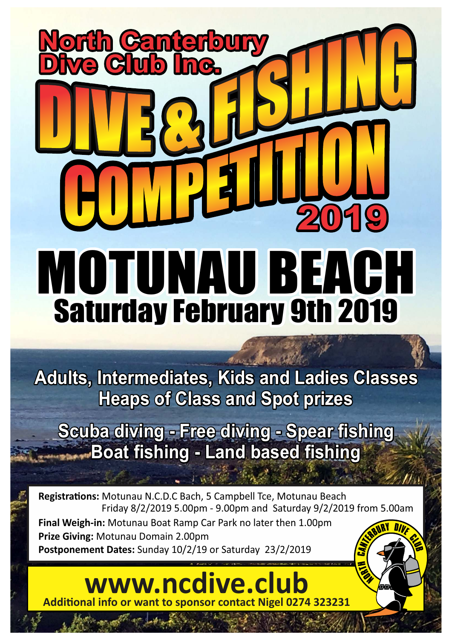# Saturday February 9th 2019 MOTUNAU BEACH **North Canterbury Dive Club Inc. 2019**

**Adults, Intermediates, Kids and Ladies Classes Heaps of Class and Spot prizes**

**Scuba diving - Free diving - Spear fishing Boat fishing - Land based fishing** 

**Registrations: Motunau N.C.D.C Bach, 5 Campbell Tce, Motunau Beach**  Friday 8/2/2019 5.00pm - 9.00pm and Saturday 9/2/2019 from 5.00am **Final Weigh-in:** Motunau Boat Ramp Car Park no later then 1.00pm **Prize Giving:** Motunau Domain 2.00pm **Postponement Dates:** Sunday 10/2/19 or Saturday 23/2/2019

**www.ncdive.club Additional info or want to sponsor contact Nigel 0274 323231**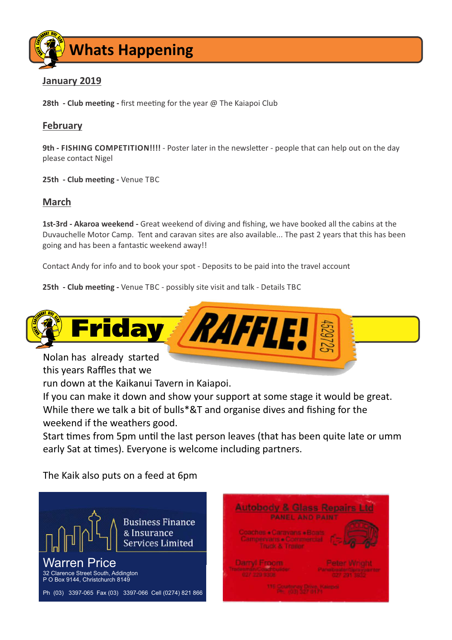

### **January 2019**

**28th - Club meeting -** first meeting for the year @ The Kaiapoi Club

#### **February**

**9th - FISHING COMPETITION!!!!** - Poster later in the newsletter - people that can help out on the day please contact Nigel

**25th - Club meeting - Venue TBC** 

### **March**

**1st-3rd - Akaroa weekend -** Great weekend of diving and fishing, we have booked all the cabins at the Duvauchelle Motor Camp. Tent and caravan sites are also available... The past 2 years that this has been going and has been a fantastic weekend away!!

Contact Andy for info and to book your spot - Deposits to be paid into the travel account

**25th - Club meeting - Venue TBC - possibly site visit and talk - Details TBC** 



this years Raffles that we

run down at the Kaikanui Tavern in Kaiapoi.

If you can make it down and show your support at some stage it would be great. While there we talk a bit of bulls\*&T and organise dives and fishing for the weekend if the weathers good.

Start times from 5pm until the last person leaves (that has been quite late or umm early Sat at times). Everyone is welcome including partners.

The Kaik also puts on a feed at 6pm